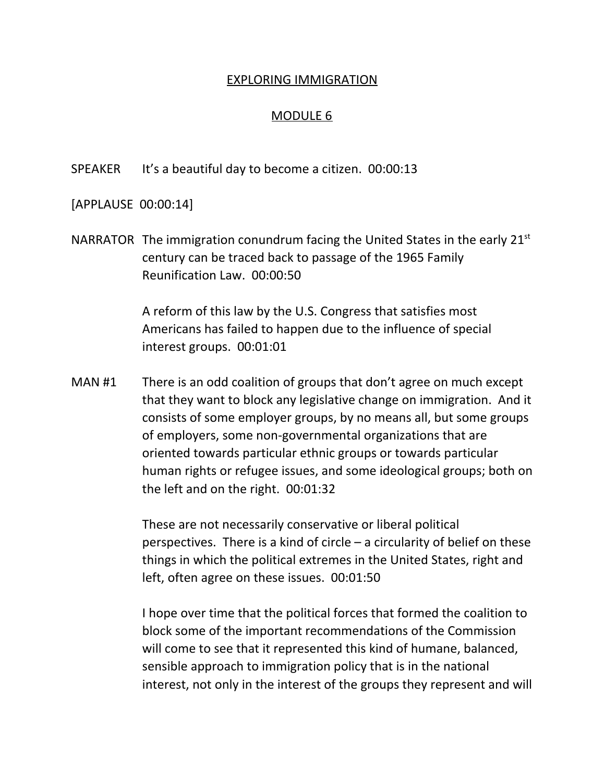## EXPLORING IMMIGRATION

## MODULE 6

SPEAKER It's a beautiful day to become a citizen. 00:00:13

[APPLAUSE 00:00:14]

NARRATOR The immigration conundrum facing the United States in the early  $21^{st}$ century can be traced back to passage of the 1965 Family Reunification Law. 00:00:50

> A reform of this law by the U.S. Congress that satisfies most Americans has failed to happen due to the influence of special interest groups. 00:01:01

MAN #1 There is an odd coalition of groups that don't agree on much except that they want to block any legislative change on immigration. And it consists of some employer groups, by no means all, but some groups of employers, some non-governmental organizations that are oriented towards particular ethnic groups or towards particular human rights or refugee issues, and some ideological groups; both on the left and on the right. 00:01:32

> These are not necessarily conservative or liberal political perspectives. There is a kind of circle  $-$  a circularity of belief on these things in which the political extremes in the United States, right and left, often agree on these issues. 00:01:50

> I hope over time that the political forces that formed the coalition to block some of the important recommendations of the Commission will come to see that it represented this kind of humane, balanced, sensible approach to immigration policy that is in the national interest, not only in the interest of the groups they represent and will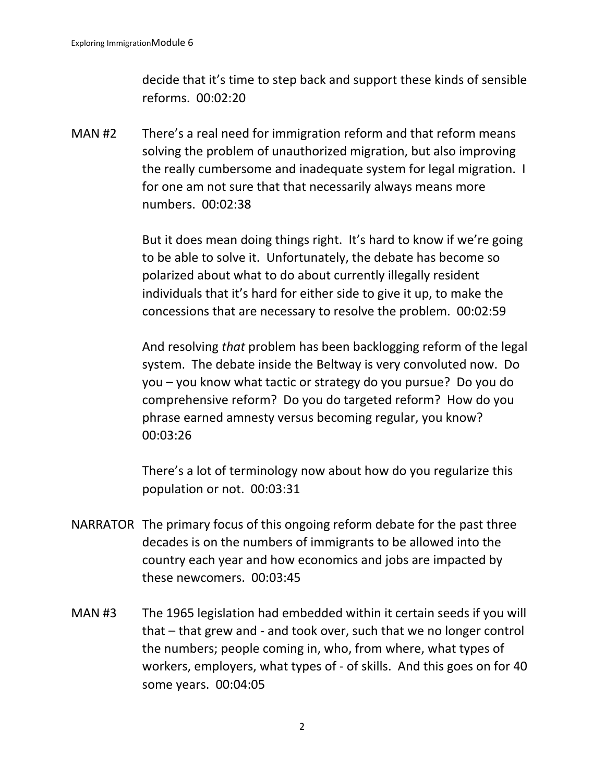decide that it's time to step back and support these kinds of sensible reforms. 00:02:20

MAN #2 There's a real need for immigration reform and that reform means solving the problem of unauthorized migration, but also improving the really cumbersome and inadequate system for legal migration. I for one am not sure that that necessarily always means more numbers. 00:02:38

> But it does mean doing things right. It's hard to know if we're going to be able to solve it. Unfortunately, the debate has become so polarized about what to do about currently illegally resident individuals that it's hard for either side to give it up, to make the concessions that are necessary to resolve the problem. 00:02:59

And resolving *that* problem has been backlogging reform of the legal system. The debate inside the Beltway is very convoluted now. Do you – you know what tactic or strategy do you pursue? Do you do comprehensive reform? Do you do targeted reform? How do you phrase earned amnesty versus becoming regular, you know? 00:03:26

There's a lot of terminology now about how do you regularize this population or not. 00:03:31

- NARRATOR The primary focus of this ongoing reform debate for the past three decades is on the numbers of immigrants to be allowed into the country each year and how economics and jobs are impacted by these newcomers. 00:03:45
- MAN #3 The 1965 legislation had embedded within it certain seeds if you will that – that grew and - and took over, such that we no longer control the numbers; people coming in, who, from where, what types of workers, employers, what types of - of skills. And this goes on for 40 some years. 00:04:05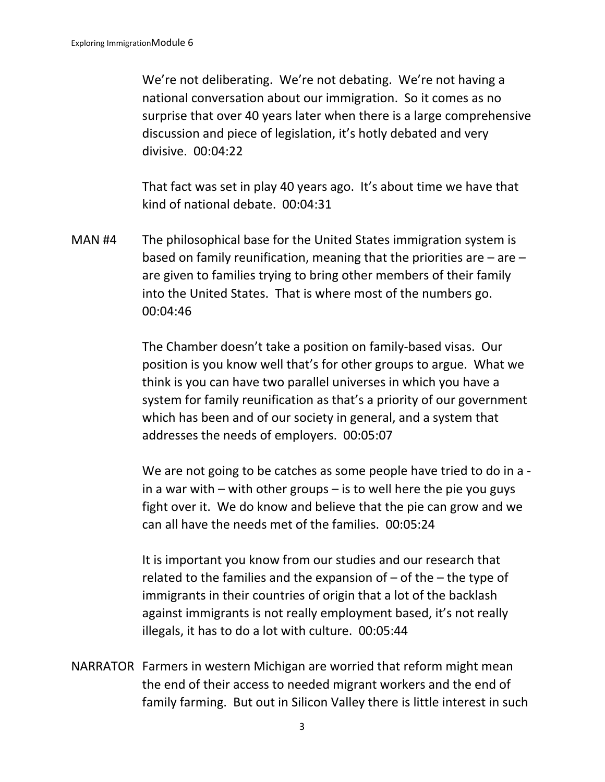We're not deliberating. We're not debating. We're not having a national conversation about our immigration. So it comes as no surprise that over 40 years later when there is a large comprehensive discussion and piece of legislation, it's hotly debated and very divisive. 00:04:22

That fact was set in play 40 years ago. It's about time we have that kind of national debate. 00:04:31

MAN #4 The philosophical base for the United States immigration system is based on family reunification, meaning that the priorities are  $-$  are  $$ are given to families trying to bring other members of their family into the United States. That is where most of the numbers go. 00:04:46

> The Chamber doesn't take a position on family-based visas. Our position is you know well that's for other groups to argue. What we think is you can have two parallel universes in which you have a system for family reunification as that's a priority of our government which has been and of our society in general, and a system that addresses the needs of employers. 00:05:07

> We are not going to be catches as some people have tried to do in a in a war with – with other groups – is to well here the pie you guys fight over it. We do know and believe that the pie can grow and we can all have the needs met of the families. 00:05:24

It is important you know from our studies and our research that related to the families and the expansion of  $-$  of the  $-$  the type of immigrants in their countries of origin that a lot of the backlash against immigrants is not really employment based, it's not really illegals, it has to do a lot with culture. 00:05:44

NARRATOR Farmers in western Michigan are worried that reform might mean the end of their access to needed migrant workers and the end of family farming. But out in Silicon Valley there is little interest in such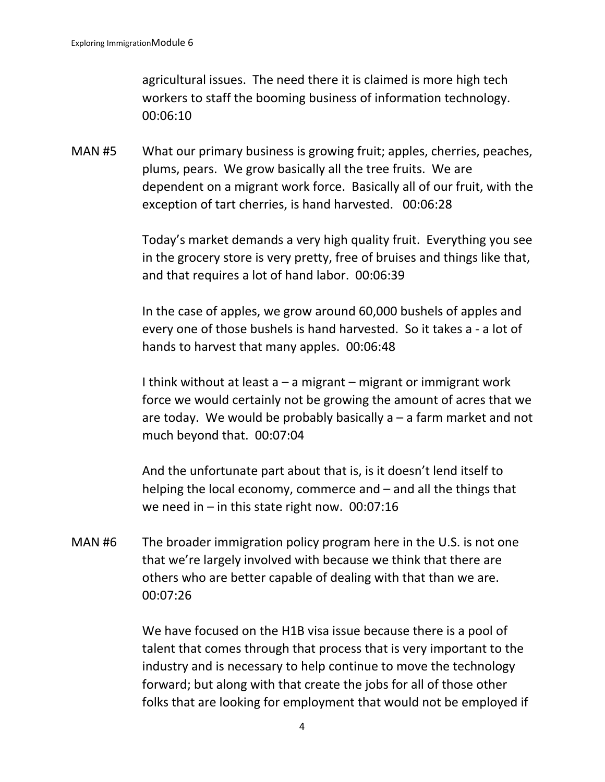agricultural issues. The need there it is claimed is more high tech workers to staff the booming business of information technology. 00:06:10

MAN #5 What our primary business is growing fruit; apples, cherries, peaches, plums, pears. We grow basically all the tree fruits. We are dependent on a migrant work force. Basically all of our fruit, with the exception of tart cherries, is hand harvested. 00:06:28

> Today's market demands a very high quality fruit. Everything you see in the grocery store is very pretty, free of bruises and things like that, and that requires a lot of hand labor. 00:06:39

In the case of apples, we grow around 60,000 bushels of apples and every one of those bushels is hand harvested. So it takes a - a lot of hands to harvest that many apples. 00:06:48

I think without at least  $a - a$  migrant – migrant or immigrant work force we would certainly not be growing the amount of acres that we are today. We would be probably basically  $a - a$  farm market and not much beyond that. 00:07:04

And the unfortunate part about that is, is it doesn't lend itself to helping the local economy, commerce and – and all the things that we need in – in this state right now.  $00:07:16$ 

MAN #6 The broader immigration policy program here in the U.S. is not one that we're largely involved with because we think that there are others who are better capable of dealing with that than we are. 00:07:26

> We have focused on the H1B visa issue because there is a pool of talent that comes through that process that is very important to the industry and is necessary to help continue to move the technology forward; but along with that create the jobs for all of those other folks that are looking for employment that would not be employed if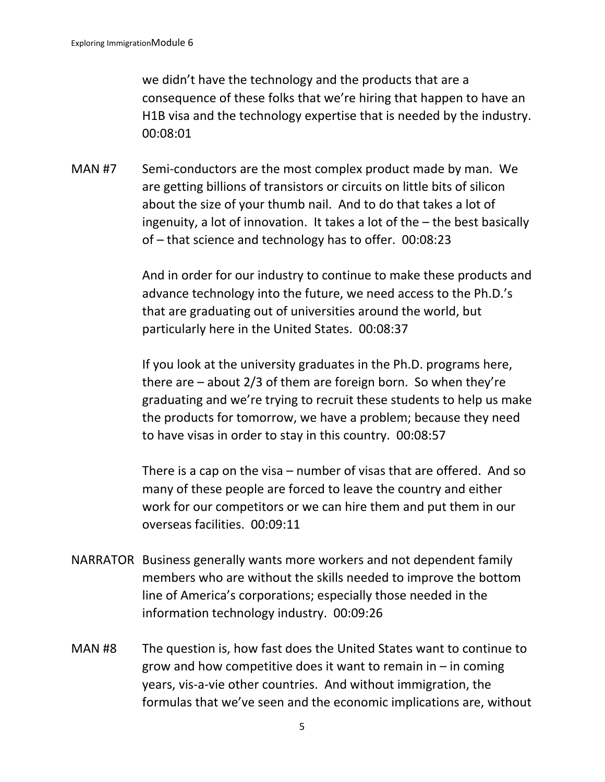we didn't have the technology and the products that are a consequence of these folks that we're hiring that happen to have an H1B visa and the technology expertise that is needed by the industry. 00:08:01

MAN #7 Semi-conductors are the most complex product made by man. We are getting billions of transistors or circuits on little bits of silicon about the size of your thumb nail. And to do that takes a lot of ingenuity, a lot of innovation. It takes a lot of the – the best basically of – that science and technology has to offer. 00:08:23

> And in order for our industry to continue to make these products and advance technology into the future, we need access to the Ph.D.'s that are graduating out of universities around the world, but particularly here in the United States. 00:08:37

> If you look at the university graduates in the Ph.D. programs here, there are  $-$  about 2/3 of them are foreign born. So when they're graduating and we're trying to recruit these students to help us make the products for tomorrow, we have a problem; because they need to have visas in order to stay in this country. 00:08:57

There is a cap on the visa – number of visas that are offered. And so many of these people are forced to leave the country and either work for our competitors or we can hire them and put them in our overseas facilities. 00:09:11

- NARRATOR Business generally wants more workers and not dependent family members who are without the skills needed to improve the bottom line of America's corporations; especially those needed in the information technology industry. 00:09:26
- MAN #8 The question is, how fast does the United States want to continue to grow and how competitive does it want to remain in  $-$  in coming years, vis-a-vie other countries. And without immigration, the formulas that we've seen and the economic implications are, without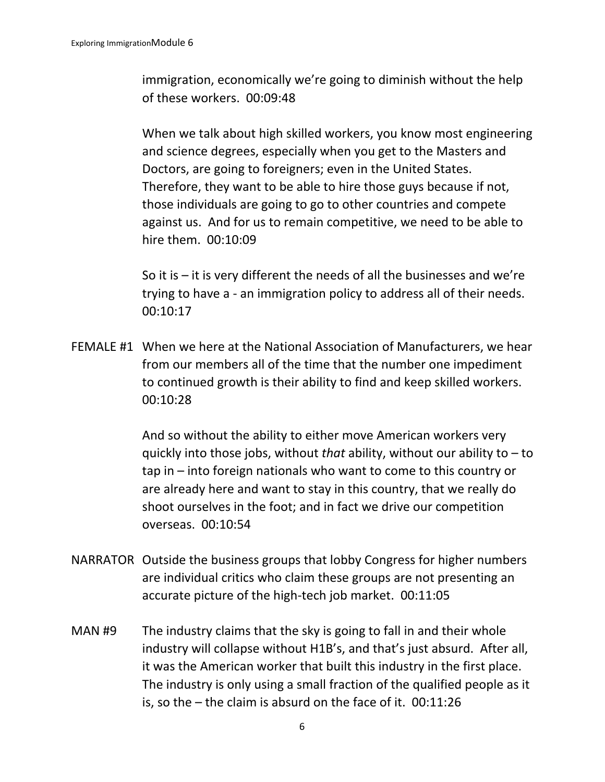immigration, economically we're going to diminish without the help of these workers. 00:09:48

When we talk about high skilled workers, you know most engineering and science degrees, especially when you get to the Masters and Doctors, are going to foreigners; even in the United States. Therefore, they want to be able to hire those guys because if not, those individuals are going to go to other countries and compete against us. And for us to remain competitive, we need to be able to hire them. 00:10:09

So it is  $-$  it is very different the needs of all the businesses and we're trying to have a - an immigration policy to address all of their needs. 00:10:17

FEMALE #1 When we here at the National Association of Manufacturers, we hear from our members all of the time that the number one impediment to continued growth is their ability to find and keep skilled workers. 00:10:28

> And so without the ability to either move American workers very quickly into those jobs, without *that* ability, without our ability to – to tap in – into foreign nationals who want to come to this country or are already here and want to stay in this country, that we really do shoot ourselves in the foot; and in fact we drive our competition overseas. 00:10:54

- NARRATOR Outside the business groups that lobby Congress for higher numbers are individual critics who claim these groups are not presenting an accurate picture of the high-tech job market. 00:11:05
- MAN #9 The industry claims that the sky is going to fall in and their whole industry will collapse without H1B's, and that's just absurd. After all, it was the American worker that built this industry in the first place. The industry is only using a small fraction of the qualified people as it is, so the – the claim is absurd on the face of it. 00:11:26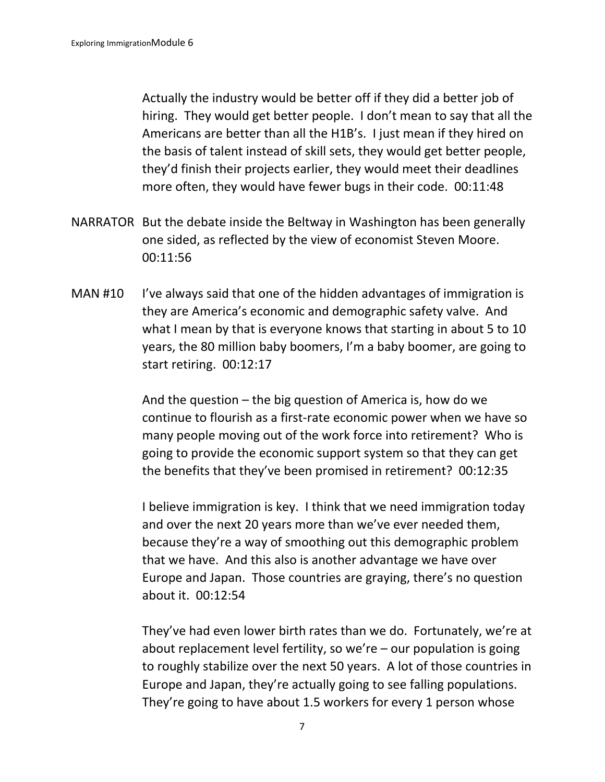Actually the industry would be better off if they did a better job of hiring. They would get better people. I don't mean to say that all the Americans are better than all the H1B's. I just mean if they hired on the basis of talent instead of skill sets, they would get better people, they'd finish their projects earlier, they would meet their deadlines more often, they would have fewer bugs in their code. 00:11:48

- NARRATOR But the debate inside the Beltway in Washington has been generally one sided, as reflected by the view of economist Steven Moore. 00:11:56
- MAN #10 I've always said that one of the hidden advantages of immigration is they are America's economic and demographic safety valve. And what I mean by that is everyone knows that starting in about 5 to 10 years, the 80 million baby boomers, I'm a baby boomer, are going to start retiring. 00:12:17

And the question – the big question of America is, how do we continue to flourish as a first-rate economic power when we have so many people moving out of the work force into retirement? Who is going to provide the economic support system so that they can get the benefits that they've been promised in retirement? 00:12:35

I believe immigration is key. I think that we need immigration today and over the next 20 years more than we've ever needed them, because they're a way of smoothing out this demographic problem that we have. And this also is another advantage we have over Europe and Japan. Those countries are graying, there's no question about it. 00:12:54

They've had even lower birth rates than we do. Fortunately, we're at about replacement level fertility, so we're – our population is going to roughly stabilize over the next 50 years. A lot of those countries in Europe and Japan, they're actually going to see falling populations. They're going to have about 1.5 workers for every 1 person whose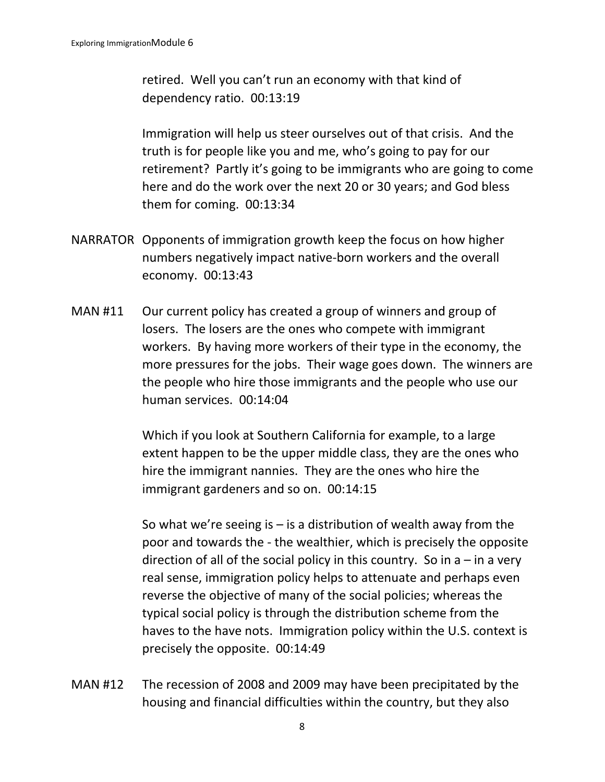retired. Well you can't run an economy with that kind of dependency ratio. 00:13:19

Immigration will help us steer ourselves out of that crisis. And the truth is for people like you and me, who's going to pay for our retirement? Partly it's going to be immigrants who are going to come here and do the work over the next 20 or 30 years; and God bless them for coming. 00:13:34

- NARRATOR Opponents of immigration growth keep the focus on how higher numbers negatively impact native-born workers and the overall economy. 00:13:43
- MAN #11 Our current policy has created a group of winners and group of losers. The losers are the ones who compete with immigrant workers. By having more workers of their type in the economy, the more pressures for the jobs. Their wage goes down. The winners are the people who hire those immigrants and the people who use our human services. 00:14:04

Which if you look at Southern California for example, to a large extent happen to be the upper middle class, they are the ones who hire the immigrant nannies. They are the ones who hire the immigrant gardeners and so on. 00:14:15

So what we're seeing is  $-$  is a distribution of wealth away from the poor and towards the - the wealthier, which is precisely the opposite direction of all of the social policy in this country. So in  $a - in a$  very real sense, immigration policy helps to attenuate and perhaps even reverse the objective of many of the social policies; whereas the typical social policy is through the distribution scheme from the haves to the have nots. Immigration policy within the U.S. context is precisely the opposite. 00:14:49

MAN #12 The recession of 2008 and 2009 may have been precipitated by the housing and financial difficulties within the country, but they also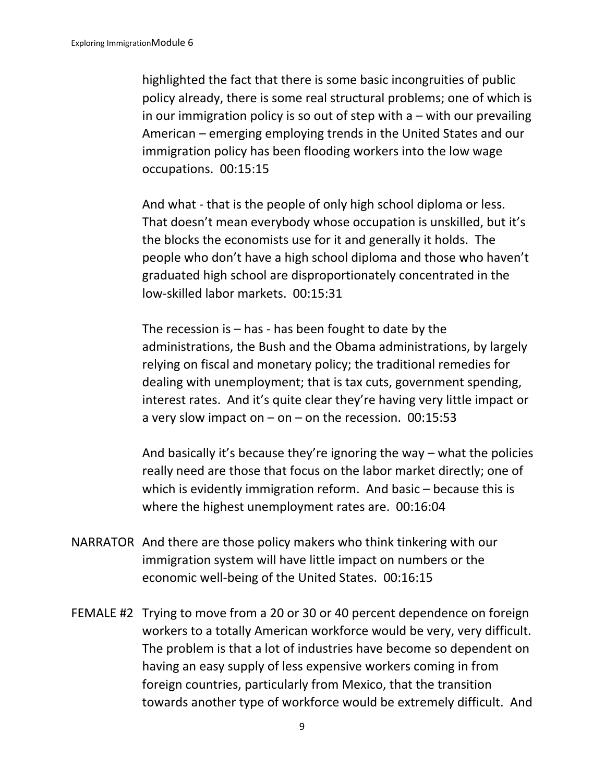highlighted the fact that there is some basic incongruities of public policy already, there is some real structural problems; one of which is in our immigration policy is so out of step with  $a$  – with our prevailing American – emerging employing trends in the United States and our immigration policy has been flooding workers into the low wage occupations. 00:15:15

And what - that is the people of only high school diploma or less. That doesn't mean everybody whose occupation is unskilled, but it's the blocks the economists use for it and generally it holds. The people who don't have a high school diploma and those who haven't graduated high school are disproportionately concentrated in the low-skilled labor markets. 00:15:31

The recession is  $-$  has - has been fought to date by the administrations, the Bush and the Obama administrations, by largely relying on fiscal and monetary policy; the traditional remedies for dealing with unemployment; that is tax cuts, government spending, interest rates. And it's quite clear they're having very little impact or a very slow impact on  $-$  on  $-$  on the recession. 00:15:53

And basically it's because they're ignoring the way – what the policies really need are those that focus on the labor market directly; one of which is evidently immigration reform. And basic – because this is where the highest unemployment rates are. 00:16:04

- NARRATOR And there are those policy makers who think tinkering with our immigration system will have little impact on numbers or the economic well-being of the United States. 00:16:15
- FEMALE #2 Trying to move from a 20 or 30 or 40 percent dependence on foreign workers to a totally American workforce would be very, very difficult. The problem is that a lot of industries have become so dependent on having an easy supply of less expensive workers coming in from foreign countries, particularly from Mexico, that the transition towards another type of workforce would be extremely difficult. And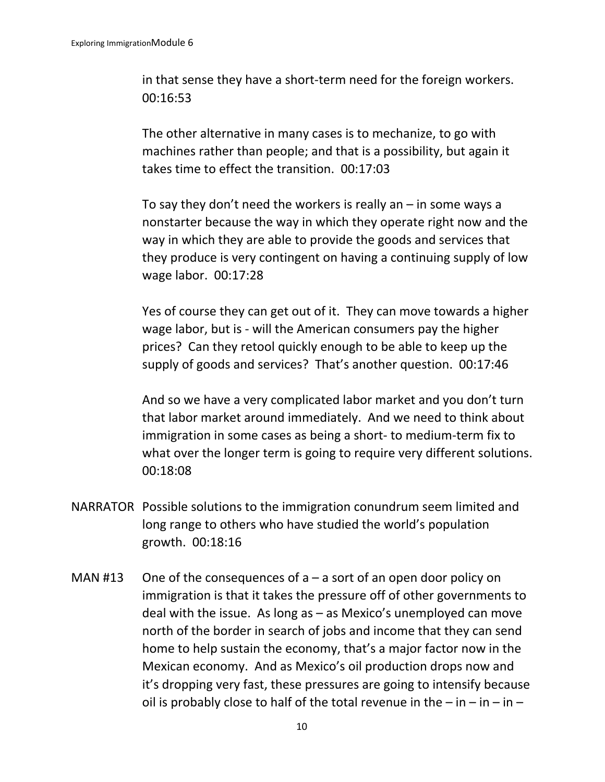in that sense they have a short-term need for the foreign workers. 00:16:53

The other alternative in many cases is to mechanize, to go with machines rather than people; and that is a possibility, but again it takes time to effect the transition. 00:17:03

To say they don't need the workers is really an  $-$  in some ways a nonstarter because the way in which they operate right now and the way in which they are able to provide the goods and services that they produce is very contingent on having a continuing supply of low wage labor. 00:17:28

Yes of course they can get out of it. They can move towards a higher wage labor, but is - will the American consumers pay the higher prices? Can they retool quickly enough to be able to keep up the supply of goods and services? That's another question. 00:17:46

And so we have a very complicated labor market and you don't turn that labor market around immediately. And we need to think about immigration in some cases as being a short- to medium-term fix to what over the longer term is going to require very different solutions. 00:18:08

- NARRATOR Possible solutions to the immigration conundrum seem limited and long range to others who have studied the world's population growth. 00:18:16
- MAN #13 One of the consequences of  $a a$  sort of an open door policy on immigration is that it takes the pressure off of other governments to deal with the issue. As long as – as Mexico's unemployed can move north of the border in search of jobs and income that they can send home to help sustain the economy, that's a major factor now in the Mexican economy. And as Mexico's oil production drops now and it's dropping very fast, these pressures are going to intensify because oil is probably close to half of the total revenue in the  $-$  in  $-$  in  $-$  in  $-$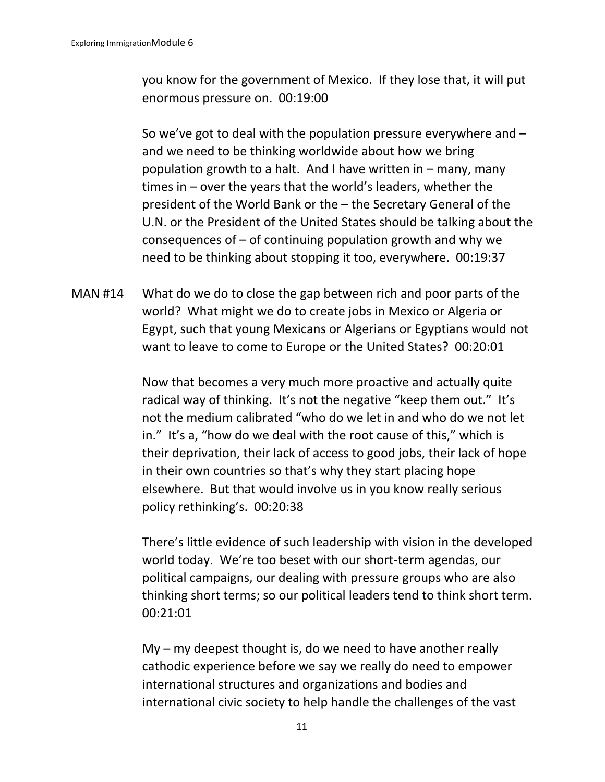you know for the government of Mexico. If they lose that, it will put enormous pressure on. 00:19:00

So we've got to deal with the population pressure everywhere and – and we need to be thinking worldwide about how we bring population growth to a halt. And I have written in – many, many times in – over the years that the world's leaders, whether the president of the World Bank or the – the Secretary General of the U.N. or the President of the United States should be talking about the consequences of  $-$  of continuing population growth and why we need to be thinking about stopping it too, everywhere. 00:19:37

MAN #14 What do we do to close the gap between rich and poor parts of the world? What might we do to create jobs in Mexico or Algeria or Egypt, such that young Mexicans or Algerians or Egyptians would not want to leave to come to Europe or the United States? 00:20:01

> Now that becomes a very much more proactive and actually quite radical way of thinking. It's not the negative "keep them out." It's not the medium calibrated "who do we let in and who do we not let in." It's a, "how do we deal with the root cause of this," which is their deprivation, their lack of access to good jobs, their lack of hope in their own countries so that's why they start placing hope elsewhere. But that would involve us in you know really serious policy rethinking's. 00:20:38

There's little evidence of such leadership with vision in the developed world today. We're too beset with our short-term agendas, our political campaigns, our dealing with pressure groups who are also thinking short terms; so our political leaders tend to think short term. 00:21:01

My – my deepest thought is, do we need to have another really cathodic experience before we say we really do need to empower international structures and organizations and bodies and international civic society to help handle the challenges of the vast